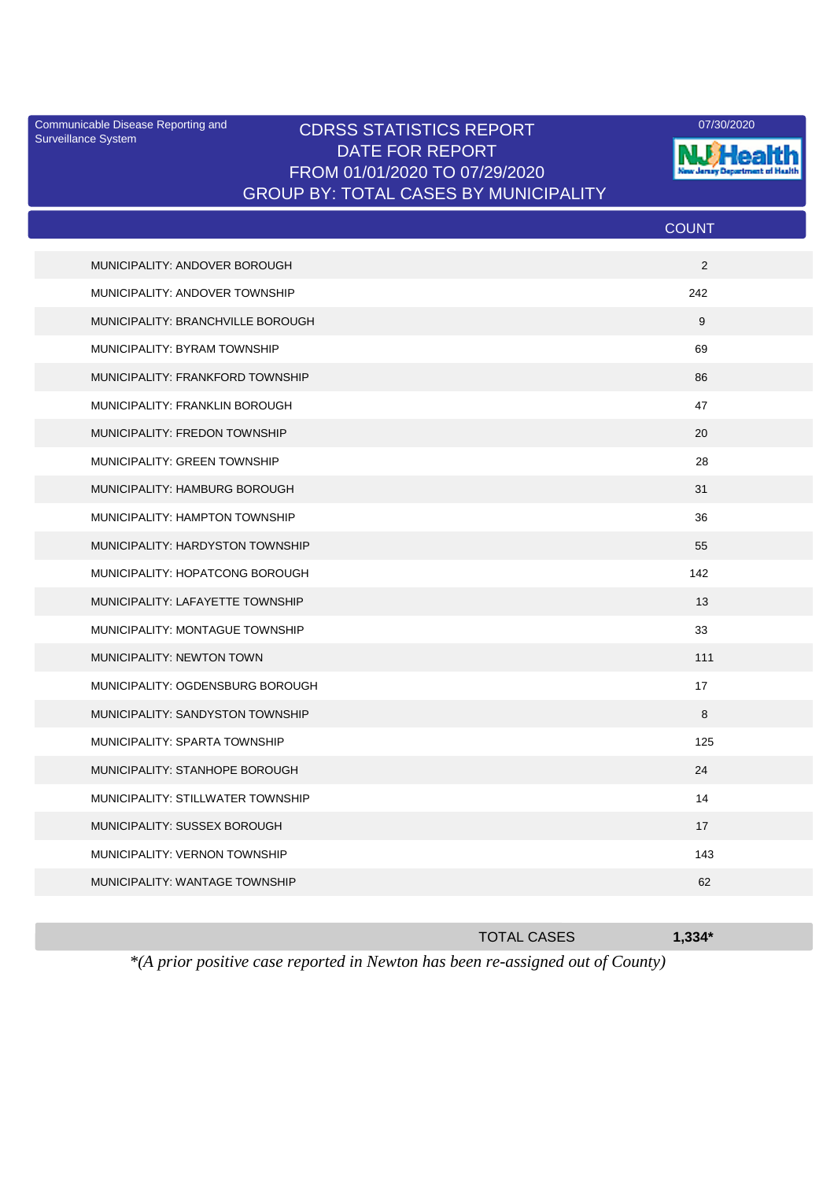Surveillance System

## Communicable Disease Reporting and CDRSS STATISTICS REPORT <sup>07/30/2020</sup><br>Surveillance System CDRSS STATISTICS REPORT DATE FOR REPORT FROM 01/01/2020 TO 07/29/2020 GROUP BY: TOTAL CASES BY MUNICIPALITY



|                                   | <b>COUNT</b> |
|-----------------------------------|--------------|
| MUNICIPALITY: ANDOVER BOROUGH     | 2            |
| MUNICIPALITY: ANDOVER TOWNSHIP    | 242          |
| MUNICIPALITY: BRANCHVILLE BOROUGH | 9            |
| MUNICIPALITY: BYRAM TOWNSHIP      | 69           |
| MUNICIPALITY: FRANKFORD TOWNSHIP  | 86           |
| MUNICIPALITY: FRANKLIN BOROUGH    | 47           |
| MUNICIPALITY: FREDON TOWNSHIP     | 20           |
| MUNICIPALITY: GREEN TOWNSHIP      | 28           |
| MUNICIPALITY: HAMBURG BOROUGH     | 31           |
| MUNICIPALITY: HAMPTON TOWNSHIP    | 36           |
| MUNICIPALITY: HARDYSTON TOWNSHIP  | 55           |
| MUNICIPALITY: HOPATCONG BOROUGH   | 142          |
| MUNICIPALITY: LAFAYETTE TOWNSHIP  | 13           |
| MUNICIPALITY: MONTAGUE TOWNSHIP   | 33           |
| MUNICIPALITY: NEWTON TOWN         | 111          |
| MUNICIPALITY: OGDENSBURG BOROUGH  | 17           |
| MUNICIPALITY: SANDYSTON TOWNSHIP  | 8            |
| MUNICIPALITY: SPARTA TOWNSHIP     | 125          |
| MUNICIPALITY: STANHOPE BOROUGH    | 24           |
| MUNICIPALITY: STILLWATER TOWNSHIP | 14           |
| MUNICIPALITY: SUSSEX BOROUGH      | 17           |
| MUNICIPALITY: VERNON TOWNSHIP     | 143          |
| MUNICIPALITY: WANTAGE TOWNSHIP    | 62           |
|                                   |              |

*\*(A prior positive case reported in Newton has been re-assigned out of County)*

TOTAL CASES **1,334\***